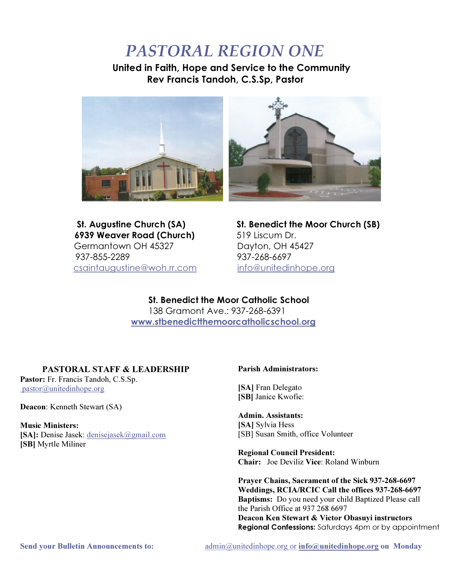# PASTORAL REGION ONE

United in Faith, Hope and Service to the Community Rev Francis Tandoh, C.S.Sp, Pastor



6939 Weaver Road (Church) 519 Liscum Dr. Germantown OH 45327 Dayton, OH 45427 937-855-2289 937-268-6697 csaintaugustine@woh.rr.com info@unitedinhope.org

St. Augustine Church (SA) St. Benedict the Moor Church (SB)

St. Benedict the Moor Catholic School 138 Gramont Ave.: 937-268-6391 www.stbenedictthemoorcatholicschool.org

# PASTORAL STAFF & LEADERSHIP

Pastor: Fr. Francis Tandoh, C.S.Sp. pastor@unitedinhope.org

Deacon: Kenneth Stewart (SA)

### **Music Ministers:** [SA]: Denise Jasek: denisejasek@gmail.com

**ISBI** Myrtle Miliner

#### Parish Administrators:

**ISAI** Fran Delegato [SB] Janice Kwofie:

#### Admin. Assistants: [SA] Sylvia Hess

ISBI Susan Smith, office Volunteer

**Regional Council President:** Chair: Joe Deviliz Vice: Roland Winburn

Praver Chains, Sacrament of the Sick 937-268-6697 Weddings, RCIA/RCIC Call the offices 937-268-6697 **Baptisms:** Do you need your child Baptized Please call the Parish Office at  $937\,268\,6697$ Deacon Ken Stewart & Victor Obasuvi instructors Regional Confessions: Saturdays 4pm or by appointment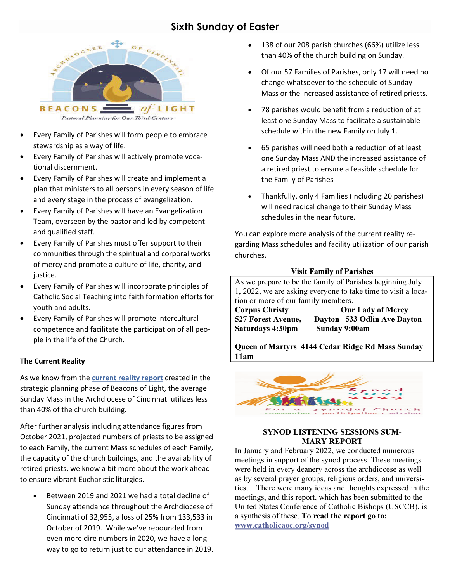# **Sixth Sunday of Easter**



- Every Family of Parishes will form people to embrace  $\bullet$ stewardship as a way of life.
- $\bullet$ Every Family of Parishes will actively promote vocational discernment.
- Every Family of Parishes will create and implement a plan that ministers to all persons in every season of life and every stage in the process of evangelization.
- Every Family of Parishes will have an Evangelization Team, overseen by the pastor and led by competent and qualified staff.
- Every Family of Parishes must offer support to their  $\bullet$ communities through the spiritual and corporal works of mercy and promote a culture of life, charity, and justice.
- Every Family of Parishes will incorporate principles of Catholic Social Teaching into faith formation efforts for youth and adults.
- Every Family of Parishes will promote intercultural competence and facilitate the participation of all people in the life of the Church.

#### **The Current Reality**

As we know from the current reality report created in the strategic planning phase of Beacons of Light, the average Sunday Mass in the Archdiocese of Cincinnati utilizes less than 40% of the church building.

After further analysis including attendance figures from October 2021, projected numbers of priests to be assigned to each Family, the current Mass schedules of each Family, the capacity of the church buildings, and the availability of retired priests, we know a bit more about the work ahead to ensure vibrant Eucharistic liturgies.

Between 2019 and 2021 we had a total decline of Sunday attendance throughout the Archdiocese of Cincinnati of 32,955, a loss of 25% from 133,533 in October of 2019. While we've rebounded from even more dire numbers in 2020, we have a long way to go to return just to our attendance in 2019.

- 138 of our 208 parish churches (66%) utilize less than 40% of the church building on Sunday.
- Of our 57 Families of Parishes, only 17 will need no change whatsoever to the schedule of Sunday Mass or the increased assistance of retired priests.
- 78 parishes would benefit from a reduction of at least one Sunday Mass to facilitate a sustainable schedule within the new Family on July 1.
- 65 parishes will need both a reduction of at least one Sunday Mass AND the increased assistance of a retired priest to ensure a feasible schedule for the Family of Parishes
- Thankfully, only 4 Families (including 20 parishes) will need radical change to their Sunday Mass schedules in the near future.

You can explore more analysis of the current reality regarding Mass schedules and facility utilization of our parish churches.

#### **Visit Family of Parishes**

As we prepare to be the family of Parishes beginning July 1, 2022, we are asking everyone to take time to visit a location or more of our family members. **Corpus Christy Our Lady of Mercy** 527 Forest Avenue, Dayton 533 Odlin Ave Dayton Sunday 9:00am **Saturdays 4:30pm** 

Queen of Martyrs 4144 Cedar Ridge Rd Mass Sunday  $11am$ 



#### **SYNOD LISTENING SESSIONS SUM-MARY REPORT**

In January and February 2022, we conducted numerous meetings in support of the synod process. These meetings were held in every deanery across the archdiocese as well as by several prayer groups, religious orders, and universities... There were many ideas and thoughts expressed in the meetings, and this report, which has been submitted to the United States Conference of Catholic Bishops (USCCB), is a synthesis of these. To read the report go to: www.catholicaoc.org/synod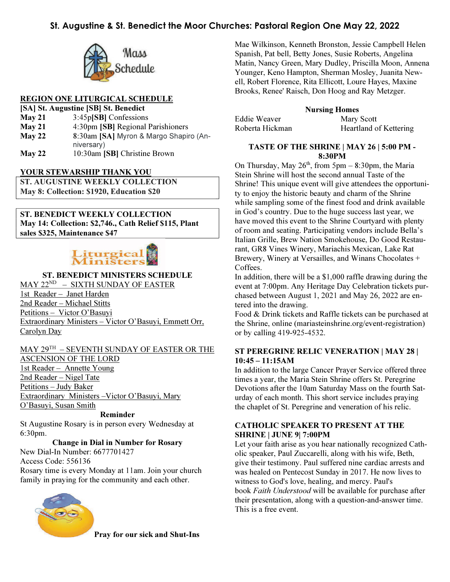## St. Augustine & St. Benedict the Moor Churches: Pastoral Region One May 22, 2022



#### REGION ONE LITURGICAL SCHEDULE

| [SA] St. Augustine [SB] St. Benedict |                                        |  |
|--------------------------------------|----------------------------------------|--|
| May 21                               | 3:45p[SB] Confessions                  |  |
| May 21                               | 4:30pm [SB] Regional Parishioners      |  |
| $M$ ay 22                            | 8:30am [SA] Myron & Margo Shapiro (An- |  |
|                                      | niversary)                             |  |
| May 22                               | 10:30am [SB] Christine Brown           |  |

#### YOUR STEWARSHIP THANK YOU

**ST. AUGUSTINE WEEKLY COLLECTION** May 8: Collection: \$1920, Education \$20

ST. BENEDICT WEEKLY COLLECTION May 14: Collection: \$2,746., Cath Relief \$115, Plant sales \$325, Maintenance \$47

# Liturgic

#### ST. BENEDICT MINISTERS SCHEDULE

MAY 22<sup>ND</sup> - SIXTH SUNDAY OF EASTER 1st Reader - Janet Harden 2nd Reader - Michael Stitts Petitions - Victor O'Basuyi Extraordinary Ministers - Victor O'Basuyi, Emmett Orr, Carolyn Day

#### MAY 29TH - SEVENTH SUNDAY OF EASTER OR THE **ASCENSION OF THE LORD** 1st Reader - Annette Young 2nd Reader - Nigel Tate Petitions - Judy Baker Extraordinary Ministers-Victor O'Basuyi, Mary O'Basuyi, Susan Smith

#### Reminder

St Augustine Rosary is in person every Wednesday at  $6:30$ pm.

#### **Change in Dial in Number for Rosary**

New Dial-In Number: 6677701427 Access Code: 556136 Rosary time is every Monday at 11am. Join your church family in praying for the community and each other.



Pray for our sick and Shut-Ins

Mae Wilkinson, Kenneth Bronston, Jessie Campbell Helen Spanish, Pat bell, Betty Jones, Susie Roberts, Angelina Matin, Nancy Green, Mary Dudley, Priscilla Moon, Annena Younger, Keno Hampton, Sherman Mosley, Juanita Newell, Robert Florence, Rita Ellicott, Loure Hayes, Maxine Brooks, Renee' Raisch, Don Hoog and Ray Metzger.

| <b>Nursing Homes</b> |                               |  |
|----------------------|-------------------------------|--|
| Eddie Weaver         | Mary Scott                    |  |
| Roberta Hickman      | <b>Heartland of Kettering</b> |  |

#### TASTE OF THE SHRINE | MAY 26 | 5:00 PM -8:30PM

On Thursday, May  $26<sup>th</sup>$ , from 5pm – 8:30pm, the Maria Stein Shrine will host the second annual Taste of the Shrine! This unique event will give attendees the opportunity to enjoy the historic beauty and charm of the Shrine while sampling some of the finest food and drink available in God's country. Due to the huge success last year, we have moved this event to the Shrine Courtyard with plenty of room and seating. Participating vendors include Bella's Italian Grille, Brew Nation Smokehouse, Do Good Restaurant, GR8 Vines Winery, Mariachis Mexican, Lake Rat Brewery, Winery at Versailles, and Winans Chocolates + Coffees.

In addition, there will be a  $$1,000$  raffle drawing during the event at 7:00pm. Any Heritage Day Celebration tickets purchased between August 1, 2021 and May 26, 2022 are entered into the drawing.

Food & Drink tickets and Raffle tickets can be purchased at the Shrine, online (mariasteinshrine.org/event-registration) or by calling 419-925-4532.

#### **ST PEREGRINE RELIC VENERATION | MAY 28 |**  $10:45 - 11:15AM$

In addition to the large Cancer Prayer Service offered three times a year, the Maria Stein Shrine offers St. Peregrine Devotions after the 10am Saturday Mass on the fourth Saturday of each month. This short service includes praying the chaplet of St. Peregrine and veneration of his relic.

#### **CATHOLIC SPEAKER TO PRESENT AT THE SHRINE | JUNE 9 7:00PM**

Let your faith arise as you hear nationally recognized Catholic speaker, Paul Zuccarelli, along with his wife, Beth, give their testimony. Paul suffered nine cardiac arrests and was healed on Pentecost Sunday in 2017. He now lives to witness to God's love, healing, and mercy. Paul's book Faith Understood will be available for purchase after their presentation, along with a question-and-answer time. This is a free event.